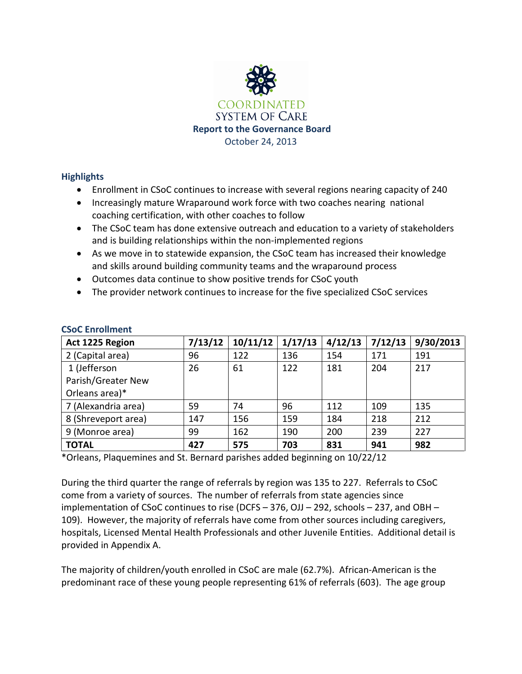

## **Highlights**

- Enrollment in CSoC continues to increase with several regions nearing capacity of 240
- Increasingly mature Wraparound work force with two coaches nearing national coaching certification, with other coaches to follow
- The CSoC team has done extensive outreach and education to a variety of stakeholders and is building relationships within the non-implemented regions
- As we move in to statewide expansion, the CSoC team has increased their knowledge and skills around building community teams and the wraparound process
- Outcomes data continue to show positive trends for CSoC youth
- The provider network continues to increase for the five specialized CSoC services

| Act 1225 Region     | 7/13/12 | 10/11/12 | 1/17/13 | 4/12/13 | 7/12/13 | 9/30/2013 |
|---------------------|---------|----------|---------|---------|---------|-----------|
| 2 (Capital area)    | 96      | 122      | 136     | 154     | 171     | 191       |
| 1 (Jefferson        | 26      | 61       | 122     | 181     | 204     | 217       |
| Parish/Greater New  |         |          |         |         |         |           |
| Orleans area)*      |         |          |         |         |         |           |
| 7 (Alexandria area) | 59      | 74       | 96      | 112     | 109     | 135       |
| 8 (Shreveport area) | 147     | 156      | 159     | 184     | 218     | 212       |
| 9 (Monroe area)     | 99      | 162      | 190     | 200     | 239     | 227       |
| <b>TOTAL</b>        | 427     | 575      | 703     | 831     | 941     | 982       |

## **CSoC Enrollment**

\*Orleans, Plaquemines and St. Bernard parishes added beginning on 10/22/12

During the third quarter the range of referrals by region was 135 to 227. Referrals to CSoC come from a variety of sources. The number of referrals from state agencies since implementation of CSoC continues to rise (DCFS – 376, OJJ – 292, schools – 237, and OBH – 109). However, the majority of referrals have come from other sources including caregivers, hospitals, Licensed Mental Health Professionals and other Juvenile Entities. Additional detail is provided in Appendix A.

The majority of children/youth enrolled in CSoC are male (62.7%). African-American is the predominant race of these young people representing 61% of referrals (603). The age group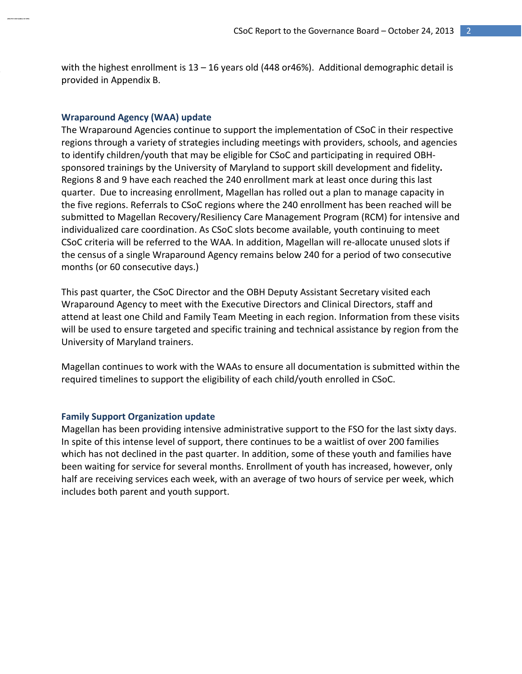with the highest enrollment is  $13 - 16$  years old (448 or46%). Additional demographic detail is provided in Appendix B.

#### **Wraparound Agency (WAA) update**

The Wraparound Agencies continue to support the implementation of CSoC in their respective regions through a variety of strategies including meetings with providers, schools, and agencies to identify children/youth that may be eligible for CSoC and participating in required OBHsponsored trainings by the University of Maryland to support skill development and fidelity**.** Regions 8 and 9 have each reached the 240 enrollment mark at least once during this last quarter. Due to increasing enrollment, Magellan has rolled out a plan to manage capacity in the five regions. Referrals to CSoC regions where the 240 enrollment has been reached will be submitted to Magellan Recovery/Resiliency Care Management Program (RCM) for intensive and individualized care coordination. As CSoC slots become available, youth continuing to meet CSoC criteria will be referred to the WAA. In addition, Magellan will re-allocate unused slots if the census of a single Wraparound Agency remains below 240 for a period of two consecutive months (or 60 consecutive days.)

This past quarter, the CSoC Director and the OBH Deputy Assistant Secretary visited each Wraparound Agency to meet with the Executive Directors and Clinical Directors, staff and attend at least one Child and Family Team Meeting in each region. Information from these visits will be used to ensure targeted and specific training and technical assistance by region from the University of Maryland trainers.

Magellan continues to work with the WAAs to ensure all documentation is submitted within the required timelines to support the eligibility of each child/youth enrolled in CSoC.

#### **Family Support Organization update**

Magellan has been providing intensive administrative support to the FSO for the last sixty days. In spite of this intense level of support, there continues to be a waitlist of over 200 families which has not declined in the past quarter. In addition, some of these youth and families have been waiting for service for several months. Enrollment of youth has increased, however, only half are receiving services each week, with an average of two hours of service per week, which includes both parent and youth support.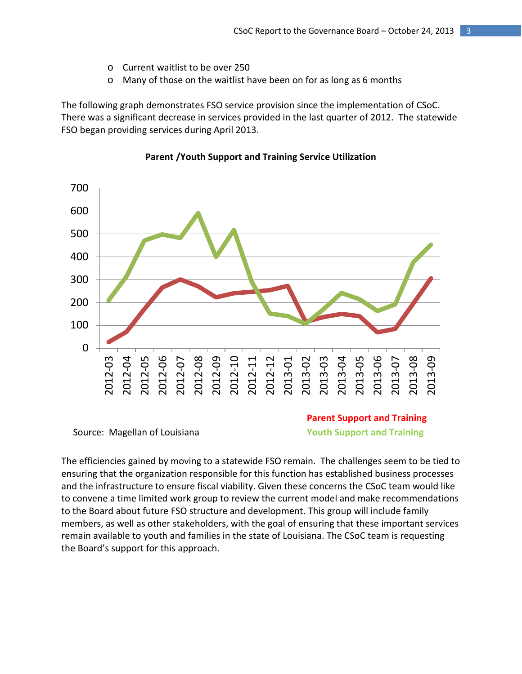- o Current waitlist to be over 250
- o Many of those on the waitlist have been on for as long as 6 months

The following graph demonstrates FSO service provision since the implementation of CSoC. There was a significant decrease in services provided in the last quarter of 2012. The statewide FSO began providing services during April 2013.



#### **Parent /Youth Support and Training Service Utilization**

**Parent Support and Training Source: Magellan of Louisiana Vouth Support and Training** 

The efficiencies gained by moving to a statewide FSO remain. The challenges seem to be tied to ensuring that the organization responsible for this function has established business processes and the infrastructure to ensure fiscal viability. Given these concerns the CSoC team would like to convene a time limited work group to review the current model and make recommendations to the Board about future FSO structure and development. This group will include family members, as well as other stakeholders, with the goal of ensuring that these important services remain available to youth and families in the state of Louisiana. The CSoC team is requesting the Board's support for this approach.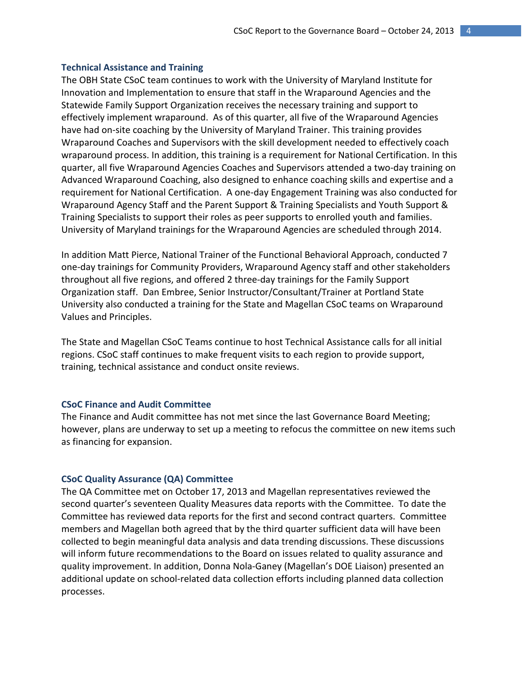#### **Technical Assistance and Training**

The OBH State CSoC team continues to work with the University of Maryland Institute for Innovation and Implementation to ensure that staff in the Wraparound Agencies and the Statewide Family Support Organization receives the necessary training and support to effectively implement wraparound. As of this quarter, all five of the Wraparound Agencies have had on-site coaching by the University of Maryland Trainer. This training provides Wraparound Coaches and Supervisors with the skill development needed to effectively coach wraparound process. In addition, this training is a requirement for National Certification. In this quarter, all five Wraparound Agencies Coaches and Supervisors attended a two-day training on Advanced Wraparound Coaching, also designed to enhance coaching skills and expertise and a requirement for National Certification. A one-day Engagement Training was also conducted for Wraparound Agency Staff and the Parent Support & Training Specialists and Youth Support & Training Specialists to support their roles as peer supports to enrolled youth and families. University of Maryland trainings for the Wraparound Agencies are scheduled through 2014.

In addition Matt Pierce, National Trainer of the Functional Behavioral Approach, conducted 7 one-day trainings for Community Providers, Wraparound Agency staff and other stakeholders throughout all five regions, and offered 2 three-day trainings for the Family Support Organization staff. Dan Embree, Senior Instructor/Consultant/Trainer at Portland State University also conducted a training for the State and Magellan CSoC teams on Wraparound Values and Principles.

The State and Magellan CSoC Teams continue to host Technical Assistance calls for all initial regions. CSoC staff continues to make frequent visits to each region to provide support, training, technical assistance and conduct onsite reviews.

## **CSoC Finance and Audit Committee**

The Finance and Audit committee has not met since the last Governance Board Meeting; however, plans are underway to set up a meeting to refocus the committee on new items such as financing for expansion.

#### **CSoC Quality Assurance (QA) Committee**

The QA Committee met on October 17, 2013 and Magellan representatives reviewed the second quarter's seventeen Quality Measures data reports with the Committee. To date the Committee has reviewed data reports for the first and second contract quarters. Committee members and Magellan both agreed that by the third quarter sufficient data will have been collected to begin meaningful data analysis and data trending discussions. These discussions will inform future recommendations to the Board on issues related to quality assurance and quality improvement. In addition, Donna Nola-Ganey (Magellan's DOE Liaison) presented an additional update on school-related data collection efforts including planned data collection processes.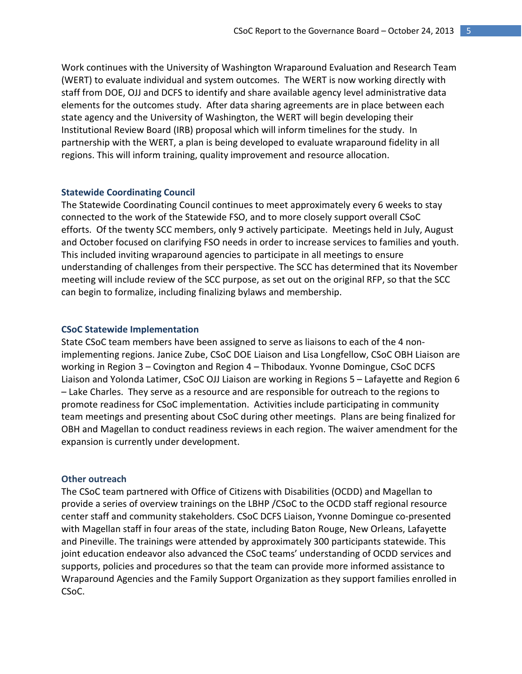Work continues with the University of Washington Wraparound Evaluation and Research Team (WERT) to evaluate individual and system outcomes. The WERT is now working directly with staff from DOE, OJJ and DCFS to identify and share available agency level administrative data elements for the outcomes study. After data sharing agreements are in place between each state agency and the University of Washington, the WERT will begin developing their Institutional Review Board (IRB) proposal which will inform timelines for the study. In partnership with the WERT, a plan is being developed to evaluate wraparound fidelity in all regions. This will inform training, quality improvement and resource allocation.

#### **Statewide Coordinating Council**

The Statewide Coordinating Council continues to meet approximately every 6 weeks to stay connected to the work of the Statewide FSO, and to more closely support overall CSoC efforts. Of the twenty SCC members, only 9 actively participate. Meetings held in July, August and October focused on clarifying FSO needs in order to increase services to families and youth. This included inviting wraparound agencies to participate in all meetings to ensure understanding of challenges from their perspective. The SCC has determined that its November meeting will include review of the SCC purpose, as set out on the original RFP, so that the SCC can begin to formalize, including finalizing bylaws and membership.

#### **CSoC Statewide Implementation**

State CSoC team members have been assigned to serve as liaisons to each of the 4 nonimplementing regions. Janice Zube, CSoC DOE Liaison and Lisa Longfellow, CSoC OBH Liaison are working in Region 3 – Covington and Region 4 – Thibodaux. Yvonne Domingue, CSoC DCFS Liaison and Yolonda Latimer, CSoC OJJ Liaison are working in Regions 5 – Lafayette and Region 6 – Lake Charles. They serve as a resource and are responsible for outreach to the regions to promote readiness for CSoC implementation. Activities include participating in community team meetings and presenting about CSoC during other meetings. Plans are being finalized for OBH and Magellan to conduct readiness reviews in each region. The waiver amendment for the expansion is currently under development.

#### **Other outreach**

The CSoC team partnered with Office of Citizens with Disabilities (OCDD) and Magellan to provide a series of overview trainings on the LBHP /CSoC to the OCDD staff regional resource center staff and community stakeholders. CSoC DCFS Liaison, Yvonne Domingue co-presented with Magellan staff in four areas of the state, including Baton Rouge, New Orleans, Lafayette and Pineville. The trainings were attended by approximately 300 participants statewide. This joint education endeavor also advanced the CSoC teams' understanding of OCDD services and supports, policies and procedures so that the team can provide more informed assistance to Wraparound Agencies and the Family Support Organization as they support families enrolled in CSoC.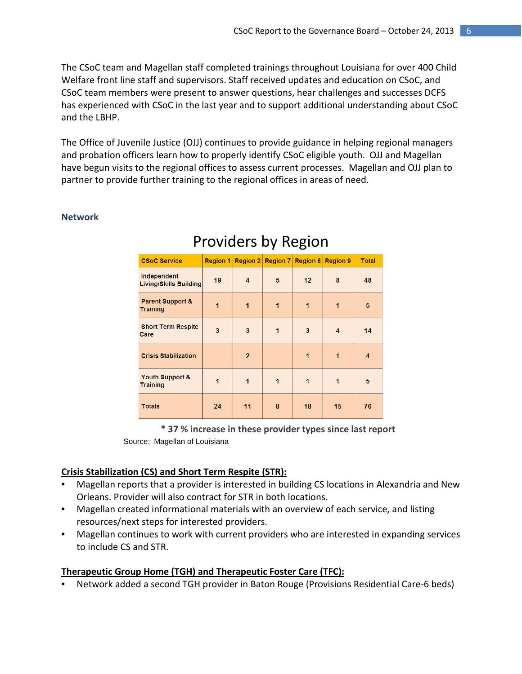The CSoC team and Magellan staff completed trainings throughout Louisiana for over 400 Child Welfare front line staff and supervisors. Staff received updates and education on CSoC, and CSoC team members were present to answer questions, hear challenges and successes DCFS has experienced with CSoC in the last year and to support additional understanding about CSoC and the LBHP.

The Office of Juvenile Justice (OJJ) continues to provide guidance in helping regional managers and probation officers learn how to properly identify CSoC eligible youth. OJJ and Magellan have begun visits to the regional offices to assess current processes. Magellan and OJJ plan to partner to provide further training to the regional offices in areas of need.

#### **Network**

| <b>CSoC Service</b>                            | <b>Region 1</b> | Region $2 $    | Region 7 | <b>Region 8</b> | <b>Region 9</b> | <b>Total</b> |
|------------------------------------------------|-----------------|----------------|----------|-----------------|-----------------|--------------|
| Independent<br><b>Living/Skills Building</b>   | 19              | 4              | 5        | 12              | 8               | 48           |
| <b>Parent Support &amp;</b><br><b>Training</b> | 1               | 1              | 1        | 1               | 1               | 5            |
| <b>Short Term Respite</b><br>Care              | 3               | 3              | 1        | 3               | 4               | 14           |
| <b>Crisis Stabilization</b>                    |                 | $\overline{2}$ |          | 1               | 1               | 4            |
| Youth Support &<br><b>Training</b>             | 1               | 1              | 1        | 1               | 1               | 5            |
| <b>Totals</b>                                  | 24              | 11             | 8        | 18              | 15              | 76           |

# Providers by Region

**\* 37 % increase in these provider types since last report**  Source: Magellan of Louisiana

#### **Crisis Stabilization (CS) and Short Term Respite (STR):**

- Magellan reports that a provider is interested in building CS locations in Alexandria and New Orleans. Provider will also contract for STR in both locations.
- Magellan created informational materials with an overview of each service, and listing resources/next steps for interested providers.
- Magellan continues to work with current providers who are interested in expanding services to include CS and STR.

#### **Therapeutic Group Home (TGH) and Therapeutic Foster Care (TFC):**

• Network added a second TGH provider in Baton Rouge (Provisions Residential Care-6 beds)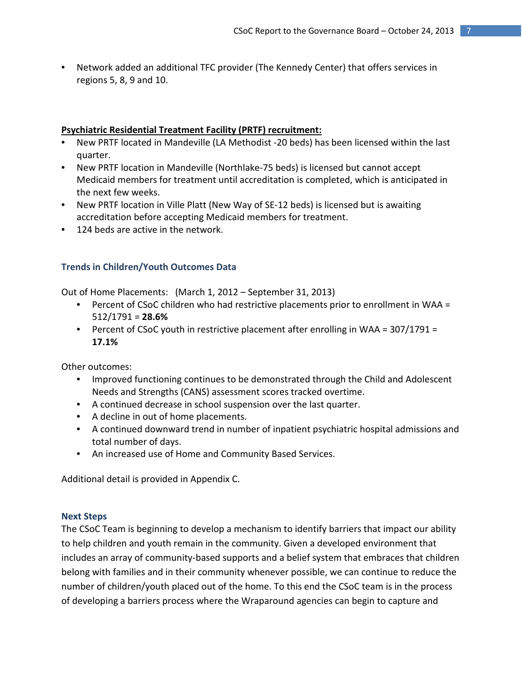• Network added an additional TFC provider (The Kennedy Center) that offers services in regions 5, 8, 9 and 10.

## **Psychiatric Residential Treatment Facility (PRTF) recruitment:**

- New PRTF located in Mandeville (LA Methodist -20 beds) has been licensed within the last quarter.
- New PRTF location in Mandeville (Northlake-75 beds) is licensed but cannot accept Medicaid members for treatment until accreditation is completed, which is anticipated in the next few weeks.
- New PRTF location in Ville Platt (New Way of SE-12 beds) is licensed but is awaiting accreditation before accepting Medicaid members for treatment.
- 124 beds are active in the network.

## **Trends in Children/Youth Outcomes Data**

Out of Home Placements: (March 1, 2012 – September 31, 2013)

- Percent of CSoC children who had restrictive placements prior to enrollment in WAA = 512/1791 = **28.6%**
- Percent of CSoC youth in restrictive placement after enrolling in WAA = 307/1791 = **17.1%**

Other outcomes:

- Improved functioning continues to be demonstrated through the Child and Adolescent Needs and Strengths (CANS) assessment scores tracked overtime.
- A continued decrease in school suspension over the last quarter.
- A decline in out of home placements.
- A continued downward trend in number of inpatient psychiatric hospital admissions and total number of days.
- An increased use of Home and Community Based Services.

Additional detail is provided in Appendix C.

#### **Next Steps**

The CSoC Team is beginning to develop a mechanism to identify barriers that impact our ability to help children and youth remain in the community. Given a developed environment that includes an array of community-based supports and a belief system that embraces that children belong with families and in their community whenever possible, we can continue to reduce the number of children/youth placed out of the home. To this end the CSoC team is in the process of developing a barriers process where the Wraparound agencies can begin to capture and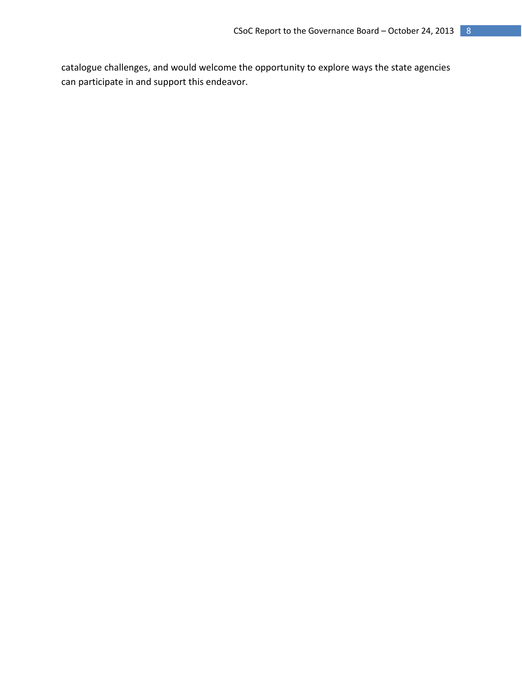catalogue challenges, and would welcome the opportunity to explore ways the state agencies can participate in and support this endeavor.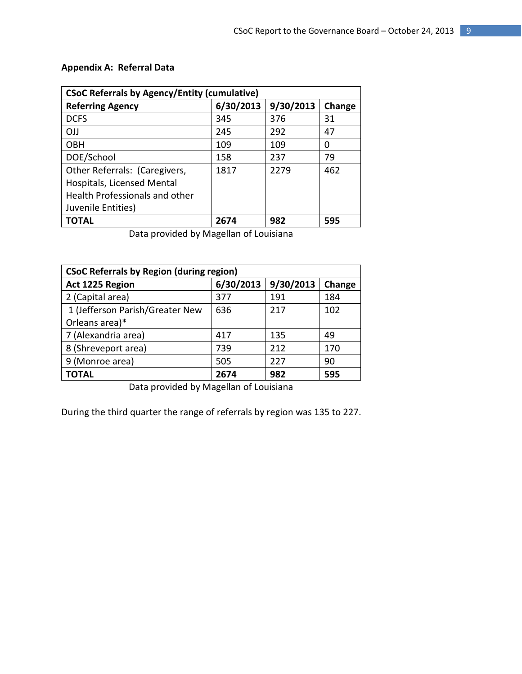| <b>CSoC Referrals by Agency/Entity (cumulative)</b> |           |           |        |  |  |
|-----------------------------------------------------|-----------|-----------|--------|--|--|
| <b>Referring Agency</b>                             | 6/30/2013 | 9/30/2013 | Change |  |  |
| <b>DCFS</b>                                         | 345       | 376       | 31     |  |  |
| <b>OJJ</b>                                          | 245       | 292       | 47     |  |  |
| <b>OBH</b>                                          | 109       | 109       | 0      |  |  |
| DOE/School                                          | 158       | 237       | 79     |  |  |
| Other Referrals: (Caregivers,                       | 1817      | 2279      | 462    |  |  |
| Hospitals, Licensed Mental                          |           |           |        |  |  |
| <b>Health Professionals and other</b>               |           |           |        |  |  |
| Juvenile Entities)                                  |           |           |        |  |  |
| TOTAL                                               | 2674      | 982       | 595    |  |  |

## **Appendix A: Referral Data**

Data provided by Magellan of Louisiana

| <b>CSoC Referrals by Region (during region)</b> |           |           |        |  |  |
|-------------------------------------------------|-----------|-----------|--------|--|--|
| Act 1225 Region                                 | 6/30/2013 | 9/30/2013 | Change |  |  |
| 2 (Capital area)                                | 377       | 191       | 184    |  |  |
| 1 (Jefferson Parish/Greater New                 | 636       | 217       | 102    |  |  |
| Orleans area)*                                  |           |           |        |  |  |
| 7 (Alexandria area)                             | 417       | 135       | 49     |  |  |
| 8 (Shreveport area)                             | 739       | 212       | 170    |  |  |
| 9 (Monroe area)                                 | 505       | 227       | 90     |  |  |
| TOTAL                                           | 2674      | 982       | 595    |  |  |

Data provided by Magellan of Louisiana

During the third quarter the range of referrals by region was 135 to 227.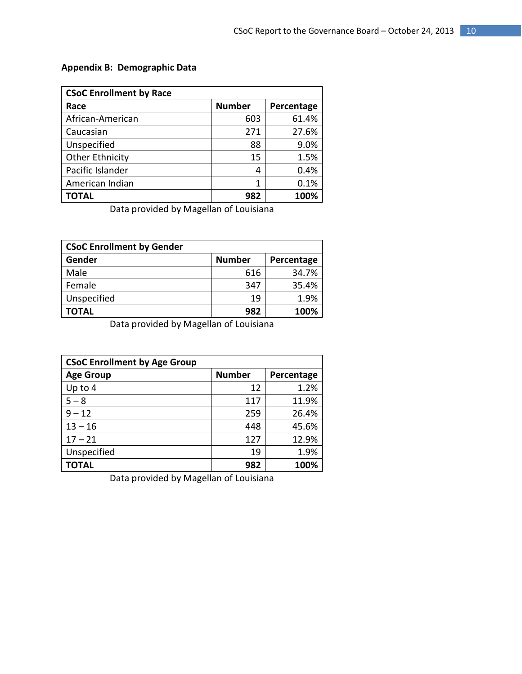## **Appendix B: Demographic Data**

| <b>CSoC Enrollment by Race</b> |               |            |  |  |
|--------------------------------|---------------|------------|--|--|
| Race                           | <b>Number</b> | Percentage |  |  |
| African-American               | 603           | 61.4%      |  |  |
| Caucasian                      | 271           | 27.6%      |  |  |
| Unspecified                    | 88            | 9.0%       |  |  |
| <b>Other Ethnicity</b>         | 15            | 1.5%       |  |  |
| Pacific Islander               | 4             | 0.4%       |  |  |
| American Indian                | 1             | 0.1%       |  |  |
| ΤΟΤΑL                          | 982           | 100%       |  |  |

Data provided by Magellan of Louisiana

| <b>CSoC Enrollment by Gender</b> |               |            |  |  |
|----------------------------------|---------------|------------|--|--|
| Gender                           | <b>Number</b> | Percentage |  |  |
| Male                             | 616           | 34.7%      |  |  |
| Female                           | 347           | 35.4%      |  |  |
| Unspecified                      | 19            | 1.9%       |  |  |
| TOTAL                            | 982           | 100%       |  |  |

Data provided by Magellan of Louisiana

| <b>CSoC Enrollment by Age Group</b> |               |            |  |  |
|-------------------------------------|---------------|------------|--|--|
| <b>Age Group</b>                    | <b>Number</b> | Percentage |  |  |
| Up to 4                             | 12            | 1.2%       |  |  |
| $5 - 8$                             | 117           | 11.9%      |  |  |
| $9 - 12$                            | 259           | 26.4%      |  |  |
| $13 - 16$                           | 448           | 45.6%      |  |  |
| $17 - 21$                           | 127           | 12.9%      |  |  |
| Unspecified                         | 19            | 1.9%       |  |  |
| <b>TOTAL</b>                        | 982           | 100%       |  |  |

Data provided by Magellan of Louisiana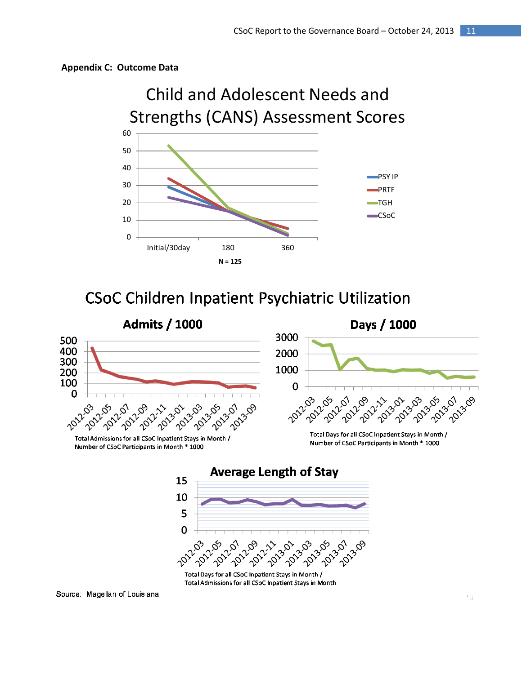





Source: Magellan of Louisiana

500 400

300

200 100

0